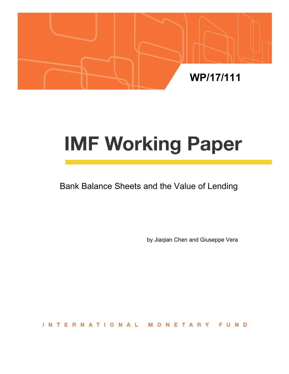

# **IMF Working Paper**

# Bank Balance Sheets and the Value of Lending

by Jiaqian Chen and Giuseppe Vera

**INTERNATIONAL** FUND ONETAR M Y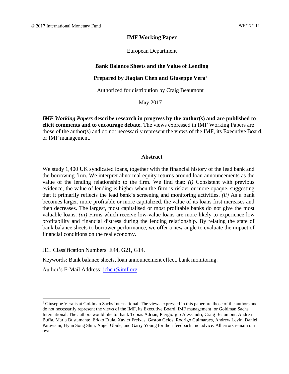#### **IMF Working Paper**

European Department

#### **Bank Balance Sheets and the Value of Lending**

#### **Prepared by Jiaqian Chen and Giuseppe Vera<sup>1</sup>**

Authorized for distribution by Craig Beaumont

May 2017

*IMF Working Papers* **describe research in progress by the author(s) and are published to elicit comments and to encourage debate.** The views expressed in IMF Working Papers are those of the author(s) and do not necessarily represent the views of the IMF, its Executive Board, or IMF management.

#### **Abstract**

We study 1,400 UK syndicated loans, together with the financial history of the lead bank and the borrowing firm. We interpret abnormal equity returns around loan announcements as the value of the lending relationship to the firm. We find that: *(i)* Consistent with previous evidence, the value of lending is higher when the firm is riskier or more opaque, suggesting that it primarily reflects the lead bank's screening and monitoring activities. *(ii)* As a bank becomes larger, more profitable or more capitalized, the value of its loans first increases and then decreases. The largest, most capitalised or most profitable banks do not give the most valuable loans. *(iii)* Firms which receive low-value loans are more likely to experience low profitability and financial distress during the lending relationship. By relating the state of bank balance sheets to borrower performance, we offer a new angle to evaluate the impact of financial conditions on the real economy.

JEL Classification Numbers: E44, G21, G14.

Keywords: Bank balance sheets, loan announcement effect, bank monitoring.

Author's E-Mail Address: [jchen@imf.org.](mailto:jchen@imf.org)

<sup>&</sup>lt;sup>1</sup> Giuseppe Vera is at Goldman Sachs International. The views expressed in this paper are those of the authors and do not necessarily represent the views of the IMF, its Executive Board, IMF management, or Goldman Sachs International. The authors would like to thank Tobias Adrian, Piergiorgio Alessandri, Craig Beaumont, Andrea Buffa, Maria Bustamante, Erkko Etula, Xavier Freixas, Gaston Gelos, Rodrigo Guimaraes, Andrew Levin, Daniel Paravisini, Hyun Song Shin, Angel Ubide, and Garry Young for their feedback and advice. All errors remain our own.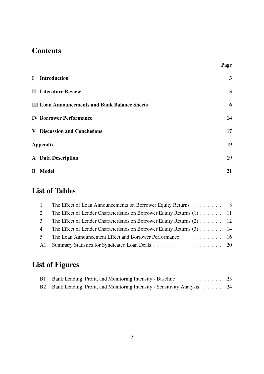# **Contents**

| <b>I</b> Introduction                                 | $\mathbf{3}$ |
|-------------------------------------------------------|--------------|
| <b>II</b> Literature Review                           | 5            |
| <b>III Loan Announcements and Bank Balance Sheets</b> | 6            |
| <b>IV Borrower Performance</b>                        | 14           |
| <b>V</b> Discussion and Conclusions                   | 17           |
| <b>Appendix</b>                                       | 19           |
| <b>A</b> Data Description                             | 19           |
| <b>B</b> Model                                        | 21           |

Page

# List of Tables

|                | The Effect of Loan Announcements on Borrower Equity Returns 8            |  |
|----------------|--------------------------------------------------------------------------|--|
| $\mathcal{L}$  | The Effect of Lender Characteristics on Borrower Equity Returns (1) 11   |  |
| $\mathcal{E}$  | The Effect of Lender Characteristics on Borrower Equity Returns (2) 12   |  |
| $\overline{4}$ | The Effect of Lender Characteristics on Borrower Equity Returns $(3)$ 14 |  |
| $5^{\circ}$    | The Loan Announcement Effect and Borrower Performance 16                 |  |
| A1             | Summary Statistics for Syndicated Loan Deals 20                          |  |

# List of Figures

| B1 Bank Lending, Profit, and Monitoring Intensity - Baseline 23             |  |
|-----------------------------------------------------------------------------|--|
| B2 Bank Lending, Profit, and Monitoring Intensity - Sensitivity Analysis 24 |  |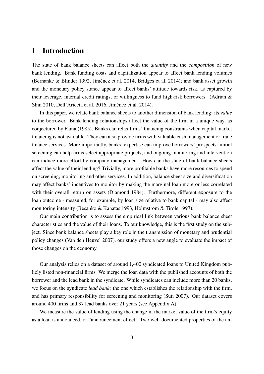## I Introduction

The state of bank balance sheets can affect both the *quantity* and the *composition* of new bank lending. Bank funding costs and capitalization appear to affect bank lending volumes (Bernanke & Blinder 1992, Jiménez et al. 2014, Bridges et al. 2014); and bank asset growth and the monetary policy stance appear to affect banks' attitude towards risk, as captured by their leverage, internal credit ratings, or willingness to fund high-risk borrowers. (Adrian & Shin 2010, Dell'Ariccia et al. 2016, Jimenez et al. 2014). ´

In this paper, we relate bank balance sheets to another dimension of bank lending: its *value* to the borrower. Bank lending relationships affect the value of the firm in a unique way, as conjectured by Fama (1985). Banks can relax firms' financing constraints when capital market financing is not available. They can also provide firms with valuable cash management or trade finance services. More importantly, banks' expertise can improve borrowers' prospects: initial screening can help firms select appropriate projects; and ongoing monitoring and intervention can induce more effort by company management. How can the state of bank balance sheets affect the value of their lending? Trivially, more profitable banks have more resources to spend on screening, monitoring and other services. In addition, balance sheet size and diversification may affect banks' incentives to monitor by making the marginal loan more or less correlated with their overall return on assets (Diamond 1984). Furthermore, different exposure to the loan outcome - measured, for example, by loan size relative to bank capital - may also affect monitoring intensity (Besanko & Kanatas 1993, Holmstrom & Tirole 1997).

Our main contribution is to assess the empirical link between various bank balance sheet characteristics and the value of their loans. To our knowledge, this is the first study on the subject. Since bank balance sheets play a key role in the transmission of monetary and prudential policy changes (Van den Heuvel 2007), our study offers a new angle to evaluate the impact of those changes on the economy.

Our analysis relies on a dataset of around 1,400 syndicated loans to United Kingdom publicly listed non-financial firms. We merge the loan data with the published accounts of both the borrower and the lead bank in the syndicate. While syndicates can include more than 20 banks, we focus on the syndicate *lead bank*: the one which establishes the relationship with the firm, and has primary responsibility for screening and monitoring (Sufi 2007). Our dataset covers around 400 firms and 37 lead banks over 21 years (see Appendix A).

We measure the value of lending using the change in the market value of the firm's equity as a loan is announced, or "announcement effect." Two well-documented properties of the an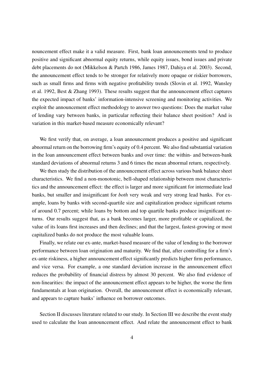nouncement effect make it a valid measure. First, bank loan announcements tend to produce positive and significant abnormal equity returns, while equity issues, bond issues and private debt placements do not (Mikkelson & Partch 1986, James 1987, Dahiya et al. 2003). Second, the announcement effect tends to be stronger for relatively more opaque or riskier borrowers, such as small firms and firms with negative profitability trends (Slovin et al. 1992, Wansley et al. 1992, Best & Zhang 1993). These results suggest that the announcement effect captures the expected impact of banks' information-intensive screening and monitoring activities. We exploit the announcement effect methodology to answer two questions: Does the market value of lending vary between banks, in particular reflecting their balance sheet position? And is variation in this market-based measure economically relevant?

We first verify that, on average, a loan announcement produces a positive and significant abnormal return on the borrowing firm's equity of 0.4 percent. We also find substantial variation in the loan announcement effect between banks and over time: the within- and between-bank standard deviations of abnormal returns 3 and 6 times the mean abnormal return, respectively.

We then study the distribution of the announcement effect across various bank balance sheet characteristics. We find a non-monotonic, bell-shaped relationship between most characteristics and the announcement effect: the effect is larger and more significant for intermediate lead banks, but smaller and insignificant for *both* very weak and very strong lead banks. For example, loans by banks with second-quartile size and capitalization produce significant returns of around 0.7 percent; while loans by bottom and top quartile banks produce insignificant returns. Our results suggest that, as a bank becomes larger, more profitable or capitalized, the value of its loans first increases and then declines; and that the largest, fastest-growing or most capitalized banks do not produce the most valuable loans.

Finally, we relate our ex-ante, market-based measure of the value of lending to the borrower performance between loan origination and maturity. We find that, after controlling for a firm's ex-ante riskiness, a higher announcement effect significantly predicts higher firm performance, and vice versa. For example, a one standard deviation increase in the announcement effect reduces the probability of financial distress by almost 30 percent. We also find evidence of non-linearities: the impact of the announcement effect appears to be higher, the worse the firm fundamentals at loan origination. Overall, the announcement effect is economically relevant, and appears to capture banks' influence on borrower outcomes.

Section II discusses literature related to our study. In Section III we describe the event study used to calculate the loan announcement effect. And relate the announcement effect to bank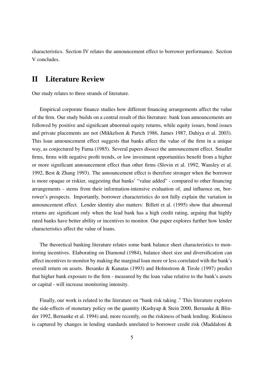characteristics. Section IV relates the announcement effect to borrower performance. Section V concludes.

## II Literature Review

Our study relates to three strands of literature.

Empirical corporate finance studies how different financing arrangements affect the value of the firm. Our study builds on a central result of this literature: bank loan announcements are followed by positive and significant abnormal equity returns, while equity issues, bond issues and private placements are not (Mikkelson & Partch 1986, James 1987, Dahiya et al. 2003). This loan announcement effect suggests that banks affect the value of the firm in a unique way, as conjectured by Fama (1985). Several papers dissect the announcement effect. Smaller firms, firms with negative profit trends, or low investment opportunities benefit from a higher or more significant announcement effect than other firms (Slovin et al. 1992, Wansley et al. 1992, Best & Zhang 1993). The announcement effect is therefore stronger when the borrower is more opaque or riskier, suggesting that banks' "value added" - compared to other financing arrangements - stems from their information-intensive evaluation of, and influence on, borrower's prospects. Importantly, borrower characteristics do not fully explain the variation in announcement effect. Lender identity also matters: Billett et al. (1995) show that abnormal returns are significant only when the lead bank has a high credit rating, arguing that highly rated banks have better ability or incentives to monitor. Our paper explores further how lender characteristics affect the value of loans.

The theoretical banking literature relates some bank balance sheet characteristics to monitoring incentives. Elaborating on Diamond (1984), balance sheet size and diversification can affect incentives to monitor by making the marginal loan more or less correlated with the bank's overall return on assets. Besanko & Kanatas (1993) and Holmstrom & Tirole (1997) predict that higher bank exposure to the firm - measured by the loan value relative to the bank's assets or capital - will increase monitoring intensity.

Finally, our work is related to the literature on "bank risk taking ." This literature explores the side-effects of monetary policy on the quantity (Kashyap & Stein 2000, Bernanke & Blinder 1992, Bernanke et al. 1994) and, more recently, on the riskiness of bank lending. Riskiness is captured by changes in lending standards unrelated to borrower credit risk (Maddaloni &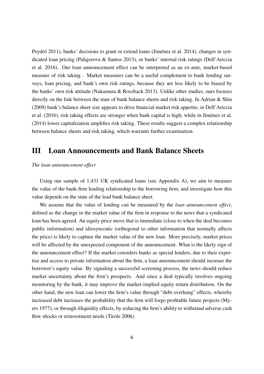Peydró 2011), banks' decisions to grant or extend loans (Jiménez et al. 2014), changes in syndicated loan pricing (Paligorova & Santos 2013), or banks' internal risk ratings (Dell'Ariccia et al. 2016). Our loan announcement effect can be interpreted as an ex-ante, market-based measure of risk taking . Market measures can be a useful complement to bank lending surveys, loan pricing, and bank's own risk ratings, because they are less likely to be biased by the banks' own risk attitude (Nakamura & Roszback 2013). Unlike other studies, ours focuses directly on the link between the state of bank balance sheets and risk taking. In Adrian & Shin (2009) bank's balance sheet size appears to drive financial market risk appetite; in Dell'Ariccia et al. (2016), risk taking effects are stronger when bank capital is high; while in Jimenez et al. ´ (2014) lower capitalization amplifies risk taking. These results suggest a complex relationship between balance sheets and risk taking, which warrants further examination.

## III Loan Announcements and Bank Balance Sheets

#### *The loan announcement effect*

Using our sample of 1,431 UK syndicated loans (see Appendix A), we aim to measure the value of the bank-firm lending relationship to the borrowing firm; and investigate how this value depends on the state of the lead bank balance sheet.

We assume that the value of lending can be measured by the *loan announcement effect*, defined as the change in the market value of the firm in response to the news that a syndicated loan has been agreed. An equity price move that is immediate (close to when the deal becomes public information) and idiosyncratic (orthogonal to other information that normally affects the price) is likely to capture the market value of the new loan. More precisely, market prices will be affected by the unexpected component of the announcement. What is the likely sign of the announcement effect? If the market considers banks as special lenders, due to their expertise and access to private information about the firm, a loan announcement should increase the borrower's equity value. By signaling a successful screening process, the news should reduce market uncertainty about the firm's prospects. And since a deal typically involves ongoing monitoring by the bank, it may improve the market-implied equity return distribution. On the other hand, the new loan can lower the firm's value through "debt overhang" effects, whereby increased debt increases the probability that the firm will forgo profitable future projects (Myers 1977); or through illiquidity effects, by reducing the firm's ability to withstand adverse cash flow shocks or reinvestment needs (Tirole 2006).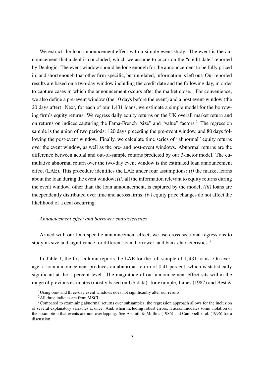We extract the loan announcement effect with a simple event study. The event is the announcement that a deal is concluded, which we assume to occur on the "credit date" reported by Dealogic. The event window should be long enough for the announcement to be fully priced in; and short enough that other firm-specific, but unrelated, information is left out. Our reported results are based on a two-day window including the credit date and the following day, in order to capture cases in which the announcement occurs after the market close.<sup>1</sup> For convenience, we also define a pre-event window (the 10 days before the event) and a post event-window (the 20 days after). Next, for each of our 1,431 loans, we estimate a simple model for the borrowing firm's equity returns. We regress daily equity returns on the UK overall market return and on returns on indices capturing the Fama-French "size" and "value" factors.<sup>2</sup> The regression sample is the union of two periods: 120 days preceding the pre-event window, and 80 days following the post-event window. Finally, we calculate time series of "abnormal" equity returns over the event window, as well as the pre- and post-event windows. Abnormal returns are the difference between actual and out-of-sample returns predicted by our 3-factor model. The cumulative abnormal return over the two-day event window is the estimated loan announcement effect (LAE). This procedure identifies the LAE under four assumptions: *(i)* the market learns about the loan during the event window; *(ii)* all the information relevant to equity returns during the event window, other than the loan announcement, is captured by the model; *(iii)* loans are independently distributed over time and across firms; *(iv)* equity price changes do not affect the likelihood of a deal occurring.

#### *Announcement effect and borrower characteristics*

Armed with our loan-specific announcement effect, we use cross-sectional regressions to study its size and significance for different loan, borrower, and bank characteristics.<sup>3</sup>

In Table 1, the first column reports the LAE for the full sample of 1, 431 loans. On average, a loan announcement produces an abnormal return of 0.41 percent, which is statistically significant at the 1 percent level. The magnitude of our announcement effect sits within the range of previous estimates (mostly based on US data): for example, James (1987) and Best &

<sup>&</sup>lt;sup>1</sup>Using one- and three-day event windows does not significantly alter our results.

<sup>&</sup>lt;sup>2</sup>All three indicies are from MSCI

 $3$ Compared to examining abnormal returns over subsamples, the regression approach allows for the inclusion of several explanatory variables at once. And, when including robust errors, it accommodates some violation of the assumption that events are non-overlapping. See Asquith & Mullins (1986) and Campbell et al. (1996) for a discussion.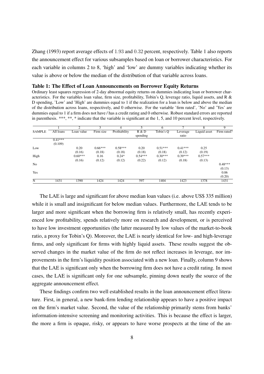Zhang (1993) report average effects of 1.93 and 0.32 percent, respectively. Table 1 also reports the announcement effect for various subsamples based on loan or borrower characteristics. For each variable in columns 2 to 8, 'high' and 'low' are dummy variables indicating whether its value is above or below the median of the distribution of that variable across loans.

#### Table 1: The Effect of Loan Announcements on Borrower Equity Returns

Ordinary least squares regression of 2-day abnormal equity returns on dummies indicating loan or borrower characteristics. For the variables loan value, firm size, profitability, Tobin's Q, leverage ratio, liquid assets, and R & D spending, 'Low' and 'High' are dummies equal to 1 if the realization for a loan is below and above the median of the distribution across loans, respectively, and 0 otherwise. For the variable 'firm rated', 'No' and 'Yes' are dummies equal to 1 if a firm does not have / has a credit rating and 0 otherwise. Robust standard errors are reported in parenthesis. \*\*\*, \*\*, \* indicate that the variable is significant at the 1, 5, and 10 percent level, respectively.

|                |           | 2          | 3         | 4             | 5         | 6         | 7         | 8            | 9           |
|----------------|-----------|------------|-----------|---------------|-----------|-----------|-----------|--------------|-------------|
| <b>SAMPLE</b>  | All loans | Loan value | Firm size | Profitability | R & D     | Tobin's Q | Leverage  | Liquid asset | Firm rated? |
|                |           |            |           |               | spending  |           | ratio     |              |             |
|                | $0.41***$ |            |           |               |           |           |           |              |             |
|                | (0.109)   |            |           |               |           |           |           |              |             |
| Low            |           | 0.20       | $0.66***$ | $0.58***$     | 0.20      | $0.51***$ | $0.41***$ | 0.25         |             |
|                |           | (0.16)     | (0.18)    | (0.18)        | (0.18)    | (0.18)    | (0.12)    | (0.19)       |             |
| High           |           | $0.60***$  | 0.16      | $0.24*$       | $0.54***$ | $0.30***$ | $0.39***$ | $0.57***$    |             |
|                |           | (0.16)     | (0.12)    | (0.12)        | (0.22)    | (0.12)    | (0.18)    | (0.13)       |             |
| N <sub>0</sub> |           |            |           |               |           |           |           |              | $0.48***$   |
|                |           |            |           |               |           |           |           |              | (0.13)      |
| Yes            |           |            |           |               |           |           |           |              | 0.06        |
|                |           |            |           |               |           |           |           |              | (0.20)      |
| N              | 1431      | 1390       | 1424      | 1424          | 597       | 1404      | 1423      | 1378         | 1431        |

The LAE is large and significant for above median loan values (i.e. above US\$ 335 million) while it is small and insignificant for below median values. Furthermore, the LAE tends to be larger and more significant when the borrowing firm is relatively small, has recently experienced low profitability, spends relatively more on research and development, or is perceived to have low investment opportunities (the latter measured by low values of the market-to-book ratio, a proxy for Tobin's Q). Moreover, the LAE is nearly identical for low- and high-leverage firms, and only significant for firms with highly liquid assets. These results suggest the observed changes in the market value of the firm do not reflect increases in leverage, nor improvements in the firm's liquidity position associated with a new loan. Finally, column 9 shows that the LAE is significant only when the borrowing firm does not have a credit rating. In most cases, the LAE is significant only for one subsample, pinning down neatly the source of the aggregate announcement effect.

These findings confirm two well established results in the loan announcement effect literature. First, in general, a new bank-firm lending relationship appears to have a positive impact on the firm's market value. Second, the value of the relationship primarily stems from banks' information-intensive screening and monitoring activities. This is because the effect is larger, the more a firm is opaque, risky, or appears to have worse prospects at the time of the an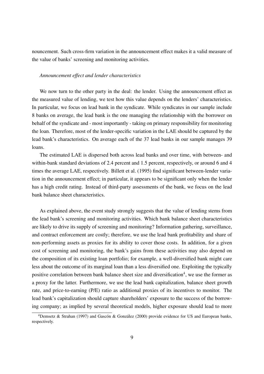nouncement. Such cross-firm variation in the announcement effect makes it a valid measure of the value of banks' screening and monitoring activities.

#### *Announcement effect and lender characteristics*

We now turn to the other party in the deal: the lender. Using the announcement effect as the measured value of lending, we test how this value depends on the lenders' characteristics. In particular, we focus on lead bank in the syndicate. While syndicates in our sample include 8 banks on average, the lead bank is the one managing the relationship with the borrower on behalf of the syndicate and - most importantly - taking on primary responsibility for monitoring the loan. Therefore, most of the lender-specific variation in the LAE should be captured by the lead bank's characteristics. On average each of the 37 lead banks in our sample manages 39 loans.

The estimated LAE is dispersed both across lead banks and over time, with between- and within-bank standard deviations of 2.4 percent and 1.5 percent, respectively, or around 6 and 4 times the average LAE, respectively. Billett et al. (1995) find significant between-lender variation in the announcement effect; in particular, it appears to be significant only when the lender has a high credit rating. Instead of third-party assessments of the bank, we focus on the lead bank balance sheet characteristics.

As explained above, the event study strongly suggests that the value of lending stems from the lead bank's screening and monitoring activities. Which bank balance sheet characteristics are likely to drive its supply of screening and monitoring? Information gathering, surveillance, and contract enforcement are costly; therefore, we use the lead bank profitability and share of non-performing assets as proxies for its ability to cover those costs. In addition, for a given cost of screening and monitoring, the bank's gains from these activities may also depend on the composition of its existing loan portfolio; for example, a well-diversified bank might care less about the outcome of its marginal loan than a less diversified one. Exploiting the typically positive correlation between bank balance sheet size and diversification<sup>4</sup>, we use the former as a proxy for the latter. Furthermore, we use the lead bank capitalization, balance sheet growth rate, and price-to-earning (P/E) ratio as additional proxies of its incentives to monitor. The lead bank's capitalization should capture shareholders' exposure to the success of the borrowing company; as implied by several theoretical models, higher exposure should lead to more

<sup>&</sup>lt;sup>4</sup>Demsetz & Strahan (1997) and Gascón & González (2000) provide evidence for US and European banks, respectively.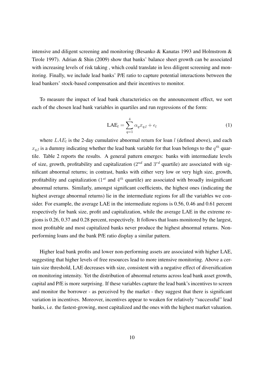intensive and diligent screening and monitoring (Besanko & Kanatas 1993 and Holmstrom & Tirole 1997). Adrian & Shin (2009) show that banks' balance sheet growth can be associated with increasing levels of risk taking , which could translate in less diligent screening and monitoring. Finally, we include lead banks' P/E ratio to capture potential interactions between the lead bankers' stock-based compensation and their incentives to monitor.

To measure the impact of lead bank characteristics on the announcement effect, we sort each of the chosen lead bank variables in quartiles and run regressions of the form:

$$
LAE_l = \sum_{q=1}^{4} \alpha_q x_{q,l} + \epsilon_l
$$
 (1)

where  $LAE_l$  is the 2-day cumulative abnormal return for loan l (defined above), and each  $x_{q,l}$  is a dummy indicating whether the lead bank variable for that loan belongs to the  $q^{th}$  quartile. Table 2 reports the results. A general pattern emerges: banks with intermediate levels of size, growth, profitability and capitalization  $(2^{nd}$  and  $3^{rd}$  quartile) are associated with significant abnormal returns; in contrast, banks with either very low or very high size, growth, profitability and capitalization ( $1^{st}$  and  $4^{th}$  quartile) are associated with broadly insignificant abnormal returns. Similarly, amongst significant coefficients, the highest ones (indicating the highest average abnormal returns) lie in the intermediate regions for all the variables we consider. For example, the average LAE in the intermediate regions is 0.56, 0.46 and 0.61 percent respectively for bank size, profit and capitalization, while the average LAE in the extreme regions is 0.26, 0.37 and 0.28 percent, respectively. It follows that loans monitored by the largest, most profitable and most capitalized banks never produce the highest abnormal returns. Nonperforming loans and the bank P/E ratio display a similar pattern.

Higher lead bank profits and lower non-performing assets are associated with higher LAE, suggesting that higher levels of free resources lead to more intensive monitoring. Above a certain size threshold, LAE decreases with size, consistent with a negative effect of diversification on monitoring intensity. Yet the distribution of abnormal returns across lead bank asset growth, capital and P/E is more surprising. If these variables capture the lead bank's incentives to screen and monitor the borrower - as perceived by the market - they suggest that there is significant variation in incentives. Moreover, incentives appear to weaken for relatively "successful" lead banks, i.e. the fastest-growing, most capitalized and the ones with the highest market valuation.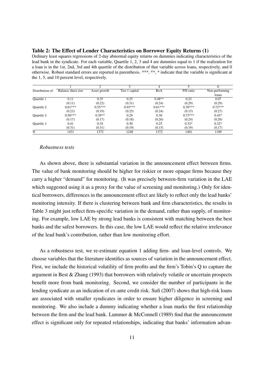#### Table 2: The Effect of Lender Characteristics on Borrower Equity Returns (1)

Ordinary least squares regressions of 2-day abnormal equity returns on dummies indicating characteristics of the lead bank in the syndicate. For each variable, Quartile 1, 2, 3 and 4 are dummies equal to 1 if the realization for a loan is in the 1st, 2nd, 3rd and 4th quartile of the distribution of that variable across loans, respectively, and 0 otherwise. Robust standard errors are reported in parenthesis. \*\*\*, \*\*, \* indicate that the variable is significant at the 1, 5, and 10 percent level, respectively.

|                   |                    | ◠            | 3              |           |           |                |
|-------------------|--------------------|--------------|----------------|-----------|-----------|----------------|
| Distribution of:  | Balance sheet size | Asset growth | Tier-1 capital | RoA       | P/E ratio | Non-performing |
|                   |                    |              |                |           |           | loans          |
| <b>Ouartile 1</b> | 0.11               | 0.35         | 0.25           | $0.48**$  | 0.22      | 0.07           |
|                   | (0.11)             | (0.22)       | (0.31)         | (0.24)    | (0.29)    | (0.29)         |
| Quartile 2        | $0.61***$          | $0.55***$    | $0.93***$      | $0.61***$ | $0.39***$ | $0.72***$      |
|                   | (0.23)             | (0.19)       | (0.25)         | (0.24)    | (0.15)    | (0.27)         |
| Quartile 3        | $0.50***$          | $0.39**$     | 0.29           | 0.30      | $0.73***$ | $0.45*$        |
|                   | (0.17)             | (0.17)       | (0.18)         | (0.26)    | (0.24)    | (0.26)         |
| Quartile 4        | 0.41               | 0.34         | 0.30           | 0.25      | $0.32*$   | $0.32*$        |
|                   | (0.31)             | (0.31)       | (0.19)         | (0.15)    | (0.19)    | (0.17)         |
| N                 | 1431               | 1372         | 1248           | 1372      | 1401      | 1189           |

#### *Robustness tests*

As shown above, there is substantial variation in the announcement effect between firms. The value of bank monitoring should be higher for riskier or more opaque firms because they carry a higher "demand" for monitoring. (It was precisely between-firm variation in the LAE which suggested using it as a proxy for the value of screening and monitoring.) Only for identical borrowers, differences in the announcement effect are likely to reflect only the lead banks' monitoring intensity. If there is clustering between bank and firm characteristics, the results in Table 3 might just reflect firm-specific variation in the demand, rather than supply, of monitoring. For example, low LAE by strong lead banks is consistent with matching between the best banks and the safest borrowers. In this case, the low LAE would reflect the relative irrelevance of the lead bank's contribution, rather than low monitoring effort.

As a robustness test, we re-estimate equation 1 adding firm- and loan-level controls. We choose variables that the literature identifies as sources of variation in the announcement effect. First, we include the historical volatility of firm profits and the firm's Tobin's Q to capture the argument in Best  $\&$  Zhang (1993) that borrowers with relatively volatile or uncertain prospects benefit more from bank monitoring. Second, we consider the number of participants in the lending syndicate as an indication of ex-ante credit risk. Sufi (2007) shows that high-risk loans are associated with smaller syndicates in order to ensure higher diligence in screening and monitoring. We also include a dummy indicating whether a loan marks the first relationship between the firm and the lead bank. Lummer & McConnell (1989) find that the announcement effect is significant only for repeated relationships, indicating that banks' information advan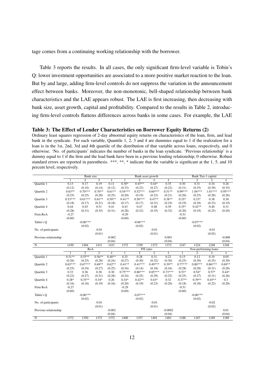tage comes from a continuing working relationship with the borrower.

Table 3 reports the results. In all cases, the only significant firm-level variable is Tobin's Q: lower investment opportunities are associated to a more positive market reaction to the loan. But by and large, adding firm-level controls do not suppress the variation in the announcement effect between banks. Moreover, the non-monotonic, bell-shaped relationship between bank characteristics and the LAE appears robust. The LAE is first increasing, then decreasing with bank size, asset growth, capital and profitability. Compared to the results in Table 2, introducing firm-level controls flattens differences across banks in some cases. For example, the LAE

#### Table 3: The Effect of Lender Characteristics on Borrower Equity Returns (2)

Ordinary least squares regression of 2-day abnormal equity returns on characteristics of the loan, firm, and lead bank in the syndicate. For each variable, Quantile 1, 2, 3 and 4 are dummies equal to 1 if the realization for a loan is in the 1st, 2nd, 3rd and 4th quartile of the distribution of that variable across loans, respectively, and 0 otherwise. 'No. of participants' indicates the number of banks in the loan syndicate. 'Previous relationship' is a dummy equal to 1 if the firm and the lead bank have been in a previous lending relationship, 0 otherwise. Robust standard errors are reported in parenthesis. \*\*\*, \*\*, \* indicate that the variable is significant at the 1, 5, and 10 percent level, respectively.

|                       | <b>Bank</b> size |                |                           | Bank asset growth |           |                |                | Bank Tier-1 capital |                      |                |           |                |
|-----------------------|------------------|----------------|---------------------------|-------------------|-----------|----------------|----------------|---------------------|----------------------|----------------|-----------|----------------|
|                       | 1                | $\overline{2}$ | $\overline{3}$            | $\overline{4}$    |           | $\overline{2}$ | 3              | $\overline{4}$      | $\mathbf{1}$         | $\overline{2}$ | 3         | $\overline{4}$ |
| Quartile 1            | 0.13             | 0.17           | 0.19                      | 0.11              | $0.38*$   | $0.45**$       | $0.44*$        | 0.35                | 0.30                 | 0.31           | 0.34      | 0.26           |
|                       | (0.12)           | (0.10)         | (0.14)                    | (0.12)            | (0.23)    | (0.23)         | (0.27)         | (0.22)              | (0.31)               | (0.35)         | (0.39)    | (0.35)         |
| <b>Ouartile 2</b>     | $0.63**$         | $0.70***$      | $0.70**$                  | $0.61**$          | $0.54***$ | $0.52***$      | $0.60***$      | $0.51**$            | $0.99***$            | $1.04***$      | $1.01***$ | $0.95***$      |
|                       | (0.25)           | (0.25)         | (0.28)                    | (0.25)            | (0.20)    | (0.19)         | (0.23)         | (0.21)              | (0.26)               | (0.25)         | (0.28)    | (0.26)         |
| Quartile 3            | $0.53***$        | $0.61***$      | $0.61**$                  | $0.50**$          | $0.41**$  | $0.50***$      | $0.47**$       | $0.38**$            | $0.35*$              | $0.33*$        | 0.38      | 0.30           |
|                       | (0.18)           | (0.17)         | (0.21)                    | (0.18)            | (0.17)    | (0.17)         | (0.21)         | (0.19)              | (0.19)               | (0.18)         | (0.23)    | (0.19)         |
| Quartile 4            | 0.44             | 0.45           | 0.51                      | 0.41              | 0.43      | 0.47           | 0.48           | 0.39                | $0.35*$              | $0.42**$       | 0.40      | 0.31           |
|                       | (0.28)           | (0.31)         | (0.35)                    | (0.31)            | (0.28)    | (0.32)         | (0.35)         | (0.32)              | (0.20)               | (0.19)         | (0.25)    | (0.20)         |
| Firm RoA              | $-0.27$          |                |                           |                   | $-0.29$   |                |                |                     | $-0.51$              |                |           |                |
|                       | (0.60)           |                |                           |                   | (0.60)    |                |                |                     | (0.60)               |                |           |                |
| Tabin's Q             |                  | $-0.06***$     |                           |                   |           | $-0.06***$     |                |                     |                      | $-0.07***$     |           |                |
|                       |                  | (0.02)         |                           |                   |           | (0.02)         |                |                     |                      | (0.02)         |           |                |
| No. of participants   |                  |                | $-0.01$                   |                   |           |                | $-0.01$        |                     |                      |                | $-0.01$   |                |
|                       |                  |                | (0.01)                    |                   |           |                | (0.01)         |                     |                      |                | (0.02)    |                |
| Previous relationship |                  |                |                           | $-0.002$          |           |                |                | 0.003               |                      |                |           | $-0.008$       |
|                       |                  |                |                           | (0.04)            |           |                |                | (0.04)              |                      |                |           | (0.04)         |
| $\mathbf N$           | 1430             | 1404           | 1431                      | 1431              | 1372      | 1350           | 1372           | 1372                | 1247                 | 1224           | 1248      | 1248           |
|                       | RoA              |                |                           | P/E ratio         |           |                |                |                     | Non-performing loans |                |           |                |
|                       | 1                | $\overline{2}$ | $\overline{\overline{3}}$ | $\overline{4}$    | 1         | $\overline{2}$ | $\overline{3}$ | 4                   | 1                    | $\overline{2}$ | 3         | $\overline{4}$ |
| <b>Ouartile 1</b>     | $0.51**$         | $0.55**$       | $0.56**$                  | $0.48**$          | 0.25      | 0.28           | 0.31           | 0.22                | 0.15                 | 0.12           | 0.19      | 0.05           |
|                       |                  |                |                           |                   |           |                |                |                     |                      |                |           |                |
|                       | (0.26)           | (0.25)         | (0.28)                    | (0.24)            | (0.27)    | (0.30)         | (0.32)         | (0.30)              | (0.25)               | (0.30)         | (0.35)    | (0.30)         |
| Quartile 2            | $0.65***$        | $0.67***$      | $0.69**$                  | $0.62**$          | $0.41**$  | $0.41***$      | $0.49***$      | $0.39**$            | $0.77***$            | $0.80***$      | $0.86***$ | $0.69**$       |
|                       | (0.25)           | (0.24)         | (0.27)                    | (0.25)            | (0.16)    | (0.14)         | (0.18)         | (0.16)              | (0.28)               | (0.28)         | (0.31)    | (0.28)         |
| Quartile 3            | 0.33             | 0.36           | 0.38                      | 0.30              | $0.75***$ | $0.86***$      | $0.85***$      | $0.73***$           | $0.53*$              | $0.54*$        | $0.57*$   | $0.44*$        |
|                       | (0.22)           | (0.27)         | (0.31)                    | (0.28)            | (0.24)    | (0.25)         | (0.29)         | (0.25)              | (0.25)               | (0.27)         | (0.31)    | (0.26)         |
| Quartile 4            | $0.28*$          | $0.35**$       | $0.34*$                   | 0.26              | $0.34*$   | $0.42**$       | $0.43*$        | 0.32                | $0.37**$             | $0.39**$       | $0.45**$  | 0.3            |
|                       | (0.16)           | (0.16)         | (0.19)                    | (0.16)            | (0.20)    | (0.19)         | (0.23)         | (0.20)              | (0.18)               | (0.18)         | (0.22)    | (0.20)         |
| Firm RoA              | $-0.27$          |                |                           |                   | $-0.29$   |                |                |                     | $-0.51$              |                |           |                |
|                       | (0.60)           |                |                           |                   | (0.60)    |                |                |                     | (0.60)               |                |           |                |
| Tabin's Q             |                  | $-0.06***$     |                           |                   |           | $-0.07***$     |                |                     |                      | $-0.06***$     |           |                |
|                       |                  | (0.02)         |                           |                   |           | (0.02)         |                |                     |                      | (0.02)         |           |                |
| No. of participants   |                  |                | $-0.01$                   |                   |           |                | $-0.01$        |                     |                      |                | $-0.02$   |                |
|                       |                  |                | (0.01)                    |                   |           |                | (0.01)         |                     |                      |                | (0.02)    |                |
| Previous relationship |                  |                |                           | $-0.002$          |           |                |                | $-0.0002$           |                      |                |           | 0.01           |
|                       |                  |                |                           | (0.04)<br>1372    |           |                |                | (0.04)              |                      |                |           | (0.04)         |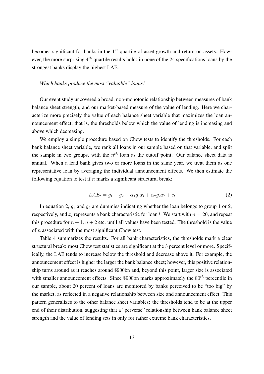becomes significant for banks in the  $1<sup>st</sup>$  quartile of asset growth and return on assets. However, the more surprising  $4^{th}$  quartile results hold: in none of the 24 specifications loans by the strongest banks display the highest LAE.

#### *Which banks produce the most "valuable" loans?*

Our event study uncovered a broad, non-monotonic relationship between measures of bank balance sheet strength, and our market-based measure of the value of lending. Here we characterize more precisely the value of each balance sheet variable that maximizes the loan announcement effect; that is, the thresholds below which the value of lending is increasing and above which decreasing.

We employ a simple procedure based on Chow tests to identify the thresholds. For each bank balance sheet variable, we rank all loans in our sample based on that variable, and split the sample in two groups, with the  $n<sup>th</sup>$  loan as the cutoff point. Our balance sheet data is annual. When a lead bank gives two or more loans in the same year, we treat them as one representative loan by averaging the individual announcement effects. We then estimate the following equation to test if  $n$  marks a significant structural break:

$$
LAE_l = g_1 + g_2 + \alpha_1 g_1 x_l + \alpha_2 g_2 x_l + e_l \tag{2}
$$

In equation 2,  $q_1$  and  $q_2$  are dummies indicating whether the loan belongs to group 1 or 2, respectively, and  $x_l$  represents a bank characteristic for loan l. We start with  $n = 20$ , and repeat this procedure for  $n + 1$ ,  $n + 2$  etc. until all values have been tested. The threshold is the value of n associated with the most significant Chow test.

Table 4 summarizes the results. For all bank characteristics, the thresholds mark a clear structural break: most Chow test statistics are significant at the 5 percent level or more. Specifically, the LAE tends to increase below the threshold and decrease above it. For example, the announcement effect is higher the larger the bank balance sheet; however, this positive relationship turns around as it reaches around \$900bn and, beyond this point, larger size is associated with smaller announcement effects. Since \$900bn marks approximately the  $80<sup>th</sup>$  percentile in our sample, about 20 percent of loans are monitored by banks perceived to be "too big" by the market, as reflected in a negative relationship between size and announcement effect. This pattern generalizes to the other balance sheet variables: the thresholds tend to be at the upper end of their distribution, suggesting that a "perverse" relationship between bank balance sheet strength and the value of lending sets in only for rather extreme bank characteristics.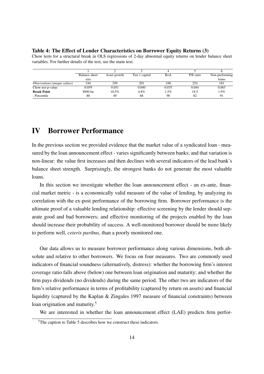#### Table 4: The Effect of Lender Characteristics on Borrower Equity Returns (3)

Chow tests for a structural break in OLS regressions of 2-day abnormal equity returns on lender balance sheet variables. For further details of the test, see the main text.

|                                     | Balance sheet | Asset growth | Tier-1 capital | RoA     | P/E ratio | Non-performing |
|-------------------------------------|---------------|--------------|----------------|---------|-----------|----------------|
|                                     | size          |              |                |         |           | loans          |
| <i>Observations</i> (unique values) | 244           | 249          | 201            | 248     | 224       | 181            |
| Chow test p-value                   | 0.059         | 0.051        | 0.040          | 0.035   | 0.044     | 0.063          |
| <b>Break Point</b>                  | \$900 bn      | $10.5\%$     | 4.8%           | $1.5\%$ | 18.5      | 1.9%           |
| - Percentile                        | 80            | 49           | 68             | 90      | 82        | 91             |
|                                     |               |              |                |         |           |                |

# IV Borrower Performance

In the previous section we provided evidence that the market value of a syndicated loan - measured by the loan announcement effect - varies significantly between banks; and that variation is non-linear: the value first increases and then declines with several indicators of the lead bank's balance sheet strength. Surprisingly, the strongest banks do not generate the most valuable loans.

In this section we investigate whether the loan announcement effect - an ex-ante, financial market metric - is a economically valid measure of the value of lending, by analyzing its correlation with the ex-post performance of the borrowing firm. Borrower performance is the ultimate proof of a valuable lending relationship: effective screening by the lender should separate good and bad borrowers; and effective monitoring of the projects enabled by the loan should increase their probability of success. A well-monitored borrower should be more likely to perform well, *ceteris paribus*, than a poorly monitored one.

Our data allows us to measure borrower performance along various dimensions, both absolute and relative to other borrowers. We focus on four measures. Two are commonly used indicators of financial soundness (alternatively, distress): whether the borrowing firm's interest coverage ratio falls above (below) one between loan origination and maturity; and whether the firm pays dividends (no dividends) during the same period. The other two are indicators of the firm's relative performance in terms of profitability (captured by return on assets) and financial liquidity (captured by the Kaplan & Zingales 1997 measure of financial constraints) between loan origination and maturity.<sup>5</sup>

We are interested in whether the loan announcement effect (LAE) predicts firm perfor-

<sup>&</sup>lt;sup>5</sup>The caption to Table 5 describes how we construct these indicators.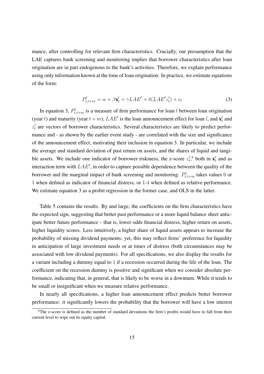mance, after controlling for relevant firm characteristics. Crucially, our presumption that the LAE captures bank screening and monitoring implies that borrower characteristics after loan origination are in part endogenous to the bank's activities. Therefore, we explain performance using only information known at the time of loan origination. In practice, we estimate equations of the form:

$$
P_{t,t+m}^l = \alpha + \beta \mathbf{x}_t^l + \gamma LAE^l + \delta (LAE^l z_t^l) + \epsilon_l
$$
\n(3)

In equation 3,  $P_{t,t+m}^l$  is a measure of firm performance for loan l between loan origination (year t) and maturity (year  $t + m$ ),  $LAE<sup>l</sup>$  is the loan announcement effect for loan l, and  $\mathbf{x}_t^l$  and  $z_t^l$  are vectors of borrower characteristics. Several characteristics are likely to predict performance and - as shown by the earlier event study - are correlated with the size and significance of the announcement effect, motivating their inclusion in equation 3. In particular, we include the average and standard deviation of past return on assets, and the shares of liquid and tangible assets. We include one indicator of borrower riskiness, the z-score  $z_t^{l,6}$  both in  $\mathbf{x}_t^{l}$  and as interaction term with  $LAE^l$ , in order to capture possible dependence between the quality of the borrower and the marginal impact of bank screening and monitoring.  $P_{t,t+m}^l$  takes values 0 or 1 when defined as indicator of financial distress, or 1-4 when defined as relative performance. We estimate equation 3 as a probit regression in the former case, and OLS in the latter.

Table 5 contains the results. By and large, the coefficients on the firm characteristics have the expected sign, suggesting that better past performance or a more liquid balance sheet anticipate better future performance – that is, lower odds financial distress, higher return on assets, higher liquidity scores. Less intuitively, a higher share of liquid assets appears to increase the probability of missing dividend payments; yet, this may reflect firms' preference for liquidity in anticipation of large investment needs or at times of distress (both circumstances may be associated with low dividend payments). For all specifications, we also display the results for a variant including a dummy equal to 1 if a recession occurred during the life of the loan. The coefficient on the recession dummy is positive and significant when we consider absolute performance, indicating that, in general, that is likely to be worse in a downturn. While it tends to be small or insignificant when we measure relative performance.

In nearly all specifications, a higher loan announcement effect predicts better borrower performance: it significantly lowers the probability that the borrower will have a low interest

<sup>&</sup>lt;sup>6</sup>The z-score is defined as the number of standard deviations the firm's profits would have to fall from their current level to wipe out its equity capital.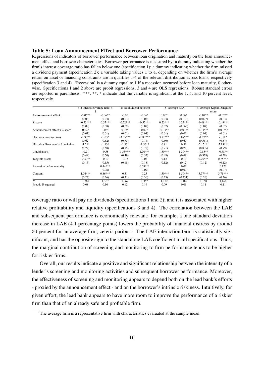#### Table 5: Loan Announcement Effect and Borrower Performance

Regressions of indicators of borrower performance between loan origination and maturity on the loan announcement effect and borrower characteristics. Borrower performance is measured by: a dummy indicating whether the firm's interest coverage ratio has fallen below one (specification 1); a dummy indicating whether the firm missed a dividend payment (specification 2); a variable taking values 1 to 4, depending on whether the firm's average return on asset or financing constraints are in quartiles 1-4 of the relevant distribution across loans, respectively (specification 3 and 4). 'Recession' is a dummy equal to 1 if a recession occurred before loan maturity, 0 otherwise. Specifications 1 and 2 above are probit regressions; 3 and 4 are OLS regressions. Robust standard errors are reported in parenthesis. \*\*\*, \*\*, \* indicate that the variable is significant at the 1, 5, and 10 percent level, respectively.

|                                   | $(1)$ Interest coverage ratio $\lt$ |            |            | (2) No dividend payment |           | (3) Average RoA | (4) Average Kaplan-Zingales |            |  |
|-----------------------------------|-------------------------------------|------------|------------|-------------------------|-----------|-----------------|-----------------------------|------------|--|
|                                   |                                     |            |            |                         |           |                 | score                       |            |  |
| <b>Announcement effect</b>        | $-0.06**$                           | $-0.06**$  | $-0.05$    | $-0.06*$                | $0.06*$   | $0.06*$         | $-0.07**$                   | $-0.07**$  |  |
|                                   | (0.03)                              | (0.03)     | (0.03)     | (0.03)                  | (0.03)    | (0.030)         | (0.027)                     | (0.03)     |  |
| Z-score                           | $-0.53***$                          | $-0.55***$ | $-0.52***$ | $-0.55***$              | $0.23***$ | $0.23***$       | $-0.48***$                  | $-0.49***$ |  |
|                                   | (0.08)                              | (0.08)     | (0.09)     | (0.09)                  | (0.07)    | (0.066)         | (0.07)                      | (0.07)     |  |
| Announcement effect x Z-score     | $0.02*$                             | $0.02*$    | $0.02*$    | $0.02*$                 | $-0.03**$ | $-0.03**$       | $0.03***$                   | $0.03***$  |  |
|                                   | (0.01)                              | (0.01)     | (0.01)     | (0.01)                  | (0.01)    | (0.01)          | (0.01)                      | (0.01)     |  |
| Historical average RoA            | $-1.33**$                           | $-1.03*$   | $-3.05***$ | $-2.80***$              | $3.87***$ | $3.87***$       | $-1.22**$                   | $-1.11*$   |  |
|                                   | (0.62)                              | (0.62)     | (0.75)     | (0.74)                  | (0.60)    | (0.60)          | (0.561)                     | (0.57)     |  |
| Historical RoA standard deviation | $-1.21*$                            | $-1.13*$   | $-1.56*$   | $-1.56**$               | 0.81      | 0.81            | $-2.15***$                  | $-2.13***$ |  |
|                                   | (0.72)                              | (0.68)     | (0.85)     | (0.78)                  | (0.71)    | (0.71)          | (0.805)                     | (0.79)     |  |
| Liquid assets                     | $-0.71$                             | $-0.58$    | $1.33***$  | $1.70***$               | $1.30***$ | $1.30***$       | $-0.83**$                   | $-0.78**$  |  |
|                                   | (0.49)                              | (0.50)     | (0.49)     | (0.53)                  | (0.48)    | (0.48)          | (0.378)                     | (0.38)     |  |
| Tangible assets                   | $-0.30**$                           | $-0.19$    | $-0.13$    | 0.08                    | 0.12      | 0.13            | $0.75***$                   | $0.75***$  |  |
|                                   | (0.15)                              | (0.15)     | (0.18)     | (0.18)                  | (0.12)    | (0.12)          | (0.12)                      | (0.12)     |  |
| Recession before maturity         |                                     | $0.44***$  |            | $0.68***$               |           | 0.01            |                             | $0.12*$    |  |
|                                   |                                     | (0.08)     |            | (0.09)                  |           | (0.07)          |                             | (0.07)     |  |
| Constant                          | $1.04***$                           | $0.86***$  | 0.51       | 0.23                    | $1.50***$ | $1.50***$       | $3.77***$                   | $3.71***$  |  |
|                                   | (0.27)                              | (0.26)     | (0.31)     | (0.30)                  | (0.23)    | (0.231)         | (0.26)                      | (0.26)     |  |
| $\boldsymbol{N}$                  | 1,367                               | 1,367      | 1,367      | 1,367                   | 1,182     | 1,182           | 1,168                       | 1,168      |  |
| Pseudo R-squared                  | 0.08                                | 0.10       | 0.12       | 0.16                    | 0.09      | 0.09            | 0.11                        | 0.11       |  |

coverage ratio or will pay no dividends (specifications 1 and 2); and it is associated with higher relative profitability and liquidity (specifications 3 and 4). The correlation between the LAE and subsequent performance is economically relevant: for example, a one standard deviation increase in LAE (4.1 percentage points) lowers the probability of financial distress by around 30 percent for an average firm, ceteris paribus.<sup>7</sup> The LAE interaction term is statistically significant, and has the opposite sign to the standalone LAE coefficient in all specifications. Thus, the marginal contribution of screening and monitoring to firm performance tends to be higher for riskier firms.

Overall, our results indicate a positive and significant relationship between the intensity of a lender's screening and monitoring activities and subsequent borrower performance. Moreover, the effectiveness of screening and monitoring appears to depend both on the lead bank's efforts - proxied by the announcement effect - and on the borrower's intrinsic riskiness. Intuitively, for given effort, the lead bank appears to have more room to improve the performance of a riskier firm than that of an already safe and profitable firm.

 $7$ The average firm is a representative firm with characteristics evaluated at the sample mean.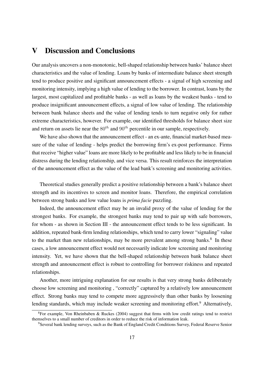## V Discussion and Conclusions

Our analysis uncovers a non-monotonic, bell-shaped relationship between banks' balance sheet characteristics and the value of lending. Loans by banks of intermediate balance sheet strength tend to produce positive and significant announcement effects - a signal of high screening and monitoring intensity, implying a high value of lending to the borrower. In contrast, loans by the largest, most capitalized and profitable banks - as well as loans by the weakest banks - tend to produce insignificant announcement effects, a signal of low value of lending. The relationship between bank balance sheets and the value of lending tends to turn negative only for rather extreme characteristics, however. For example, our identified thresholds for balance sheet size and return on assets lie near the  $80<sup>th</sup>$  and  $90<sup>th</sup>$  percentile in our sample, respectively.

We have also shown that the announcement effect - an ex-ante, financial market-based measure of the value of lending - helps predict the borrowing firm's ex-post performance. Firms that receive "higher value" loans are more likely to be profitable and less likely to be in financial distress during the lending relationship, and vice versa. This result reinforces the interpretation of the announcement effect as the value of the lead bank's screening and monitoring activities.

Theoretical studies generally predict a positive relationship between a bank's balance sheet strength and its incentives to screen and monitor loans. Therefore, the empirical correlation between strong banks and low value loans is *prima facie* puzzling.

Indeed, the announcement effect may be an invalid proxy of the value of lending for the strongest banks. For example, the strongest banks may tend to pair up with safe borrowers, for whom - as shown in Section III - the announcement effect tends to be less significant. In addition, repeated bank-firm lending relationships, which tend to carry lower "signaling" value to the market than new relationships, may be more prevalent among strong banks. $8\,$  In these cases, a low announcement effect would not necessarily indicate low screening and monitoring intensity. Yet, we have shown that the bell-shaped relationship between bank balance sheet strength and announcement effect is robust to controlling for borrower riskiness and repeated relationships.

Another, more intriguing explanation for our results is that very strong banks deliberately choose low screening and monitoring , "correctly" captured by a relatively low announcement effect. Strong banks may tend to compete more aggressively than other banks by loosening lending standards, which may include weaker screening and monitoring effort.<sup>9</sup> Alternatively,

<sup>&</sup>lt;sup>8</sup>For example, Von Rheinbaben & Ruckes (2004) suggest that firms with low credit ratings tend to restrict themselves to a small number of creditors in order to reduce the risk of information leak.

<sup>9</sup>Several bank lending surveys, such as the Bank of England Credit Conditions Survey, Federal Reserve Senior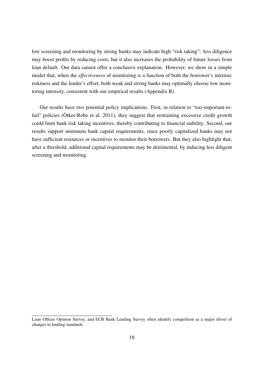low screening and monitoring by strong banks may indicate high "risk taking": less diligence may boost profits by reducing costs, but it also increases the probability of future losses from loan default. Our data cannot offer a conclusive explanation. However, we show in a simple model that, when the *effectiveness* of monitoring is a function of both the borrower's intrinsic riskiness and the lender's effort, both weak and strong banks may optimally choose low monitoring intensity, consistent with our empirical results (Appendix B).

Our results have two potential policy implications. First, in relation to "too-important-tofail" policies ( $\ddot{\text{O}}$ tker-Robe et al. 2011), they suggest that restraining excessive credit growth could limit bank risk taking incentives, thereby contributing to financial stability. Second, our results support minimum bank capital requirements, since poorly capitalized banks may not have sufficient resources or incentives to monitor their borrowers. But they also highlight that, after a threshold, additional capital requirements may be detrimental, by inducing less diligent screening and monitoring.

Loan Officer Opinion Survey, and ECB Bank Lending Survey often identify competition as a major driver of changes in lending standards.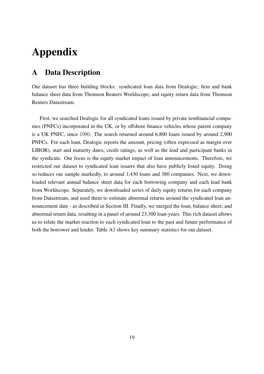# Appendix

# A Data Description

Our dataset has three building blocks: syndicated loan data from Dealogic; firm and bank balance sheet data from Thomson Reuters Worldscope; and equity return data from Thomson Reuters Datastream.

First, we searched Dealogic for all syndicated loans issued by private nonfinancial companies (PNFCs) incorporated in the UK, or by offshore finance vehicles whose parent company is a UK PNFC, since 1990. The search returned around 6,800 loans issued by around 2,900 PNFCs. For each loan, Dealogic reports the amount, pricing (often expressed as margin over LIBOR), start and maturity dates, credit ratings, as well as the lead and participant banks in the syndicate. Our focus is the equity market impact of loan announcements. Therefore, we restricted our dataset to syndicated loan issuers that also have publicly listed equity. Doing so reduces our sample markedly, to around 1,430 loans and 380 companies. Next, we downloaded relevant annual balance sheet data for each borrowing company and each lead bank from Worldscope. Separately, we downloaded series of daily equity returns for each company from Datastream, and used them to estimate abnormal returns around the syndicated loan announcement date - as described in Section III. Finally, we merged the loan, balance sheet, and abnormal return data, resulting in a panel of around 23,300 loan-years. This rich dataset allows us to relate the market reaction to each syndicated loan to the past and future performance of both the borrower and lender. Table A1 shows key summary statistics for our dataset.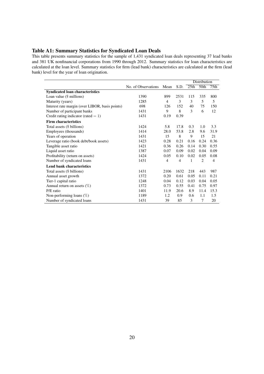#### Table A1: Summary Statistics for Syndicated Loan Deals

This table presents summary statistics for the sample of 1,431 syndicated loan deals representing 37 lead banks and 381 UK nonfinancial corporations from 1990 through 2012. Summary statistics for loan characteristics are calculated at the loan level. Summary statistics for firm (lead bank) characteristics are calculated at the firm (lead bank) level for the year of loan origination.

|                                                 |                     |                |      |      | Distribution |      |
|-------------------------------------------------|---------------------|----------------|------|------|--------------|------|
|                                                 | No. of Observations | Mean           | S.D. | 25th | 50th         | 75th |
| <b>Syndicated loan characteristics</b>          |                     |                |      |      |              |      |
| Loan value $(\$$ millions)                      | 1390                | 899            | 2531 | 115  | 335          | 800  |
| Maturity (years)                                | 1285                | $\overline{4}$ | 3    | 3    | 5            | 5    |
| Interest rate margin (over LIBOR, basis points) | 698                 | 126            | 152  | 40   | 75           | 150  |
| Number of participant banks                     | 1431                | 9              | 8    | 3    | 6            | 12   |
| Credit rating indicator (rated $= 1$ )          | 1431                | 0.19           | 0.39 |      |              |      |
| <b>Firm characteristics</b>                     |                     |                |      |      |              |      |
| Total assets (\$ billions)                      | 1424                | 5.8            | 17.8 | 0.3  | 1.0          | 3.3  |
| Employees (thousands)                           | 1414                | 28.0           | 53.8 | 2.8  | 9.6          | 31.9 |
| Years of operation                              | 1431                | 15             | 8    | 9    | 15           | 21   |
| Leverage ratio (book debt/book assets)          | 1423                | 0.28           | 0.21 | 0.16 | 0.24         | 0.36 |
| Tangible asset ratio                            | 1421                | 0.36           | 0.26 | 0.14 | 0.30         | 0.55 |
| Liquid asset ratio                              | 1387                | 0.07           | 0.09 | 0.02 | 0.04         | 0.09 |
| Profitability (return on assets)                | 1424                | 0.05           | 0.10 | 0.02 | 0.05         | 0.08 |
| Number of syndicated loans                      | 1431                | $\overline{4}$ | 4    | 1    | 2            | 4    |
| <b>Lend bank characteristics</b>                |                     |                |      |      |              |      |
| Total assets (\$ billions)                      | 1431                | 2106           | 1632 | 218  | 443          | 987  |
| Annual asset growth                             | 1372                | 0.20           | 0.61 | 0.05 | 0.11         | 0.21 |
| Tier-1 capital ratio                            | 1248                | 0.04           | 0.12 | 0.03 | 0.04         | 0.05 |
| Annual return on assets $(\%)$                  | 1372                | 0.73           | 0.55 | 0.41 | 0.75         | 0.97 |
| P/E ratio                                       | 1401                | 11.9           | 20.6 | 8.9  | 11.4         | 15.3 |
| Non-performing loans $(\%)$                     | 1189                | 1.2            | 0.9  | 0.6  | 1.1          | 1.5  |
| Number of syndicated loans                      | 1431                | 39             | 85   | 3    | 7            | 20   |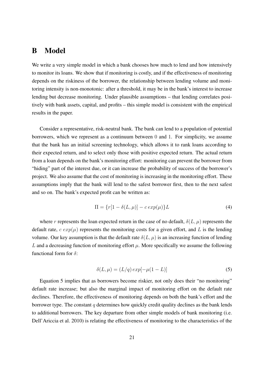## B Model

We write a very simple model in which a bank chooses how much to lend and how intensively to monitor its loans. We show that if monitoring is costly, and if the effectiveness of monitoring depends on the riskiness of the borrower, the relationship between lending volume and monitoring intensity is non-monotonic: after a threshold, it may be in the bank's interest to increase lending but decrease monitoring. Under plausible assumptions – that lending correlates positively with bank assets, capital, and profits – this simple model is consistent with the empirical results in the paper.

Consider a representative, risk-neutral bank. The bank can lend to a population of potential borrowers, which we represent as a continuum between 0 and 1. For simplicity, we assume that the bank has an initial screening technology, which allows it to rank loans according to their expected return, and to select only those with positive expected return. The actual return from a loan depends on the bank's monitoring effort: monitoring can prevent the borrower from "hiding" part of the interest due, or it can increase the probability of success of the borrower's project. We also assume that the cost of monitoring is increasing in the monitoring effort. These assumptions imply that the bank will lend to the safest borrower first, then to the next safest and so on. The bank's expected profit can be written as:

$$
\Pi = \{r[1 - \delta(L, \mu)] - c \exp(\mu)\}L\tag{4}
$$

where r represents the loan expected return in the case of no default,  $\delta(L, \mu)$  represents the default rate,  $c \exp(\mu)$  represents the monitoring costs for a given effort, and L is the lending volume. Our key assumption is that the default rate  $\delta(L, \mu)$  is an increasing function of lending L and a decreasing function of monitoring effort  $\mu$ . More specifically we assume the following functional form for  $\delta$ :

$$
\delta(L,\mu) = (L/q) \exp[-\mu(1-L)] \tag{5}
$$

Equation 5 implies that as borrowers become riskier, not only does their "no monitoring" default rate increase; but also the marginal impact of monitoring effort on the default rate declines. Therefore, the effectiveness of monitoring depends on both the bank's effort and the borrower type. The constant  $q$  determines how quickly credit quality declines as the bank lends to additional borrowers. The key departure from other simple models of bank monitoring (i.e. Dell'Ariccia et al. 2010) is relating the effectiveness of monitoring to the characteristics of the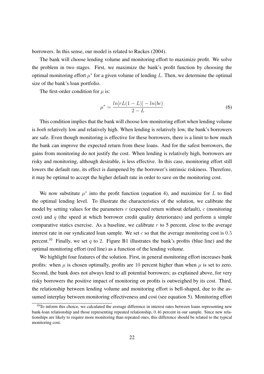borrowers. In this sense, our model is related to Ruckes (2004).

The bank will choose lending volume and monitoring effort to maximize profit. We solve the problem in two stages. First, we maximize the bank's profit function by choosing the optimal monitoring effort  $\mu^*$  for a given volume of lending L. Then, we determine the optimal size of the bank's loan portfolio.

The first-order condition for  $\mu$  is:

$$
\mu^* = \frac{ln[rL(1-L)] - ln(bc)}{2 - L} \tag{6}
$$

This condition implies that the bank will choose low monitoring effort when lending volume is *both* relatively low and relatively high. When lending is relatively low, the bank's borrowers are safe. Even though monitoring is effective for these borrowers, there is a limit to how much the bank can improve the expected return from these loans. And for the safest borrowers, the gains from monitoring do not justify the cost. When lending is relatively high, borrowers are risky and monitoring, although desirable, is less effective. In this case, monitoring effort still lowers the default rate, its effect is dampened by the borrower's intrinsic riskiness. Therefore, it may be optimal to accept the higher default rate in order to save on the monitoring cost.

We now substitute  $\mu^*$  into the profit function (equation 4), and maximize for L to find the optimal lending level. To illustrate the characteristics of the solution, we calibrate the model by setting values for the parameters  $r$  (expected return without default),  $c$  (monitoring cost) and  $q$  (the speed at which borrower credit quality deteriorates) and perform a simple comparative statics exercise. As a baseline, we calibrate  $r$  to 5 percent, close to the average interest rate in our syndicated loan sample. We set  $c$  so that the average monitoring cost is  $0.5$ percent.<sup>10</sup> Finally, we set q to 2. Figure B1 illustrates the bank's profits (blue line) and the optimal monitoring effort (red line) as a function of the lending volume.

We highlight four features of the solution. First, in general monitoring effort increases bank profits: when  $\mu$  is chosen optimally, profits are 10 percent higher than when  $\mu$  is set to zero. Second, the bank does not always lend to all potential borrowers; as explained above, for very risky borrowers the positive impact of monitoring on profits is outweighed by its cost. Third, the relationship between lending volume and monitoring effort is bell-shaped, due to the assumed interplay between monitoring effectiveness and cost (see equation 5). Monitoring effort

 $10$ To inform this choice, we calculated the average difference in interest rates between loans representing new bank-loan relationship and those representing repeated relationship, 0.46 percent in our sample. Since new relationships are likely to require more monitoring than repeated ones, this difference should be related to the typical monitoring cost.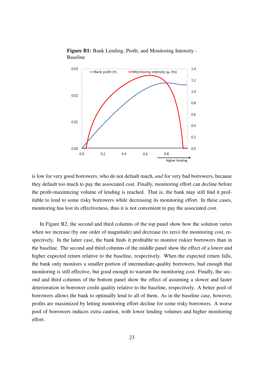

Figure B1: Bank Lending, Profit, and Monitoring Intensity - Baseline

is low for very good borrowers, who do not default much, *and* for very bad borrowers, because they default too much to pay the associated cost. Finally, monitoring effort can decline before the profit-maximizing volume of lending is reached. That is, the bank may still find it profitable to lend to some risky borrowers while decreasing its monitoring effort. In these cases, monitoring has lost its effectiveness, thus it is not convenient to pay the associated cost.

In Figure B2, the second and third columns of the top panel show how the solution varies when we increase (by one order of magnitude) and decrease (to zero) the monitoring cost, respectively. In the latter case, the bank finds it profitable to monitor riskier borrowers than in the baseline. The second and third columns of the middle panel show the effect of a lower and higher expected return relative to the baseline, respectively. When the expected return falls, the bank only monitors a smaller portion of intermediate-quality borrowers, bad enough that monitoring is still effective, but good enough to warrant the monitoring cost. Finally, the second and third columns of the bottom panel show the effect of assuming a slower and faster deterioration in borrower credit quality relative to the baseline, respectively. A better pool of borrowers allows the bank to optimally lend to all of them. As in the baseline case, however, profits are maximized by letting monitoring effort decline for some risky borrowers. A worse pool of borrowers induces extra caution, with lower lending volumes and higher monitoring effort.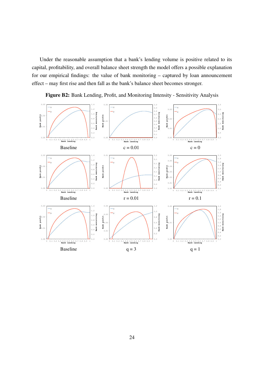Under the reasonable assumption that a bank's lending volume is positive related to its capital, profitability, and overall balance sheet strength the model offers a possible explanation for our empirical findings: the value of bank monitoring – captured by loan announcement effect – may first rise and then fall as the bank's balance sheet becomes stronger.



Figure B2: Bank Lending, Profit, and Monitoring Intensity - Sensitivity Analysis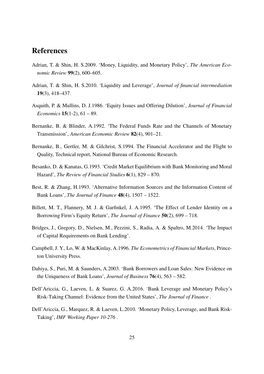## References

- Adrian, T. & Shin, H. S.2009. 'Money, Liquidity, and Monetary Policy', *The American Economic Review* 99(2), 600–605.
- Adrian, T. & Shin, H. S.2010. 'Liquidity and Leverage', *Journal of financial intermediation* 19(3), 418–437.
- Asquith, P. & Mullins, D. J.1986. 'Equity Issues and Offering Dilution', *Journal of Financial Economics* 15(1-2), 61 – 89.
- Bernanke, B. & Blinder, A.1992. 'The Federal Funds Rate and the Channels of Monetary Transmission', *American Economic Review* 82(4), 901–21.
- Bernanke, B., Gertler, M. & Gilchrist, S.1994. The Financial Accelerator and the Flight to Quality, Technical report, National Bureau of Economic Research.
- Besanko, D. & Kanatas, G.1993. 'Credit Market Equilibrium with Bank Monitoring and Moral Hazard', *The Review of Financial Studies* 6(1), 829 – 870.
- Best, R. & Zhang, H.1993. 'Alternative Information Sources and the Information Content of Bank Loans', *The Journal of Finance* 48(4), 1507 – 1522.
- Billett, M. T., Flannery, M. J. & Garfinkel, J. A.1995. 'The Effect of Lender Identity on a Borrowing Firm's Equity Return', *The Journal of Finance* 50(2), 699 – 718.
- Bridges, J., Gregory, D., Nielsen, M., Pezzini, S., Radia, A. & Spaltro, M.2014. 'The Impact of Capital Requirements on Bank Lending'.
- Campbell, J. Y., Lo, W. & MacKinlay, A.1996. *The Econometrics of Financial Markets*, Princeton University Press.
- Dahiya, S., Puri, M. & Saunders, A.2003. 'Bank Borrowers and Loan Sales: New Evidence on the Uniqueness of Bank Loans', *Journal of Business* 76(4), 563 – 582.
- Dell'Ariccia, G., Laeven, L. & Suarez, G. A.2016. 'Bank Leverage and Monetary Policy's Risk-Taking Channel: Evidence from the United States', *The Journal of Finance* .
- Dell'Ariccia, G., Marquez, R. & Laeven, L.2010. 'Monetary Policy, Leverage, and Bank Risk-Taking', *IMF Working Paper 10-276* .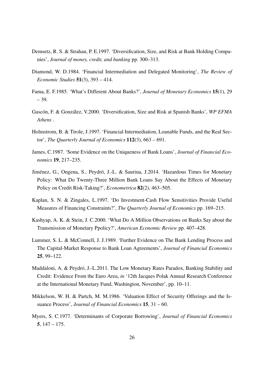- Demsetz, R. S. & Strahan, P. E.1997. 'Diversification, Size, and Risk at Bank Holding Companies', *Journal of money, credit, and banking* pp. 300–313.
- Diamond, W. D.1984. 'Financial Intermediation and Delegated Monitoring', *The Review of Economic Studies* 51(3), 393 – 414.
- Fama, E. F.1985. 'What's Different About Banks?', *Journal of Monetary Economics* 15(1), 29 – 39.
- Gascón, F. & González, V.2000. 'Diversification, Size and Risk at Spanish Banks', *WP EFMA Athens* .
- Holmstrom, B. & Tirole, J.1997. 'Financial Intermediation, Loanable Funds, and the Real Sector', *The Quarterly Journal of Economics* 112(3), 663 – 691.
- James, C.1987. 'Some Evidence on the Uniqueness of Bank Loans', *Journal of Financial Economics* 19, 217–235.
- Jiménez, G., Ongena, S., Peydró, J.-L. & Saurina, J.2014. 'Hazardous Times for Monetary Policy: What Do Twenty-Three Million Bank Loans Say About the Effects of Monetary Policy on Credit Risk-Taking?', *Econometrica* 82(2), 463–505.
- Kaplan, S. N. & Zingales, L.1997. 'Do Investment-Cash Flow Sensitivities Provide Useful Measures of Financing Constraints?', *The Quarterly Journal of Economics* pp. 169–215.
- Kashyap, A. K. & Stein, J. C.2000. 'What Do A Million Observations on Banks Say about the Transmission of Monetary Ppolicy?', *American Economic Review* pp. 407–428.
- Lummer, S. L. & McConnell, J. J.1989. 'Further Evidence on The Bank Lending Process and The Capital-Market Response to Bank Loan Agreements', *Journal of Financial Economics* 25, 99–122.
- Maddaloni, A. & Peydró, J.-L.2011. The Low Monetary Rates Paradox, Banking Stability and Credit: Evidence From the Euro Area, *in* '12th Jacques Polak Annual Research Conference at the International Monetary Fund, Washington, November', pp. 10–11.
- Mikkelson, W. H. & Partch, M. M.1986. 'Valuation Effect of Security Offerings and the Issuance Process', *Journal of Financial Economics* 15, 31 – 60.
- Myers, S. C.1977. 'Determinants of Corporate Borrowing', *Journal of Financial Economics* 5, 147 – 175.